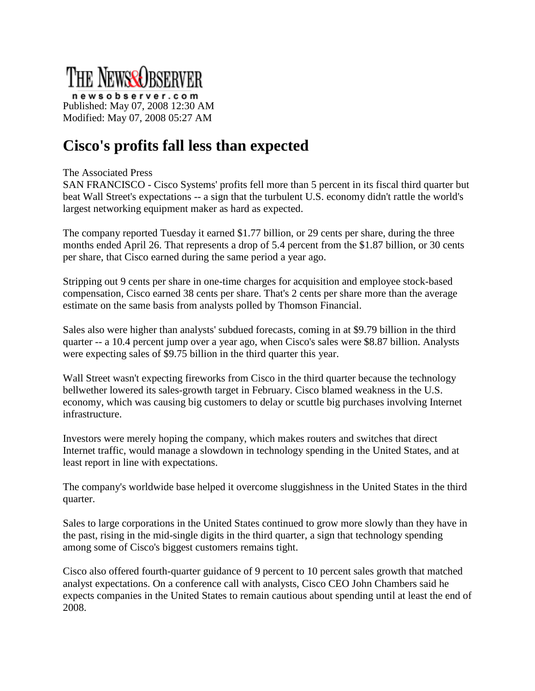

newsobserver.com Published: May 07, 2008 12:30 AM Modified: May 07, 2008 05:27 AM

## **Cisco's profits fall less than expected**

## The Associated Press

SAN FRANCISCO - Cisco Systems' profits fell more than 5 percent in its fiscal third quarter but beat Wall Street's expectations -- a sign that the turbulent U.S. economy didn't rattle the world's largest networking equipment maker as hard as expected.

The company reported Tuesday it earned \$1.77 billion, or 29 cents per share, during the three months ended April 26. That represents a drop of 5.4 percent from the \$1.87 billion, or 30 cents per share, that Cisco earned during the same period a year ago.

Stripping out 9 cents per share in one-time charges for acquisition and employee stock-based compensation, Cisco earned 38 cents per share. That's 2 cents per share more than the average estimate on the same basis from analysts polled by Thomson Financial.

Sales also were higher than analysts' subdued forecasts, coming in at \$9.79 billion in the third quarter -- a 10.4 percent jump over a year ago, when Cisco's sales were \$8.87 billion. Analysts were expecting sales of \$9.75 billion in the third quarter this year.

Wall Street wasn't expecting fireworks from Cisco in the third quarter because the technology bellwether lowered its sales-growth target in February. Cisco blamed weakness in the U.S. economy, which was causing big customers to delay or scuttle big purchases involving Internet infrastructure.

Investors were merely hoping the company, which makes routers and switches that direct Internet traffic, would manage a slowdown in technology spending in the United States, and at least report in line with expectations.

The company's worldwide base helped it overcome sluggishness in the United States in the third quarter.

Sales to large corporations in the United States continued to grow more slowly than they have in the past, rising in the mid-single digits in the third quarter, a sign that technology spending among some of Cisco's biggest customers remains tight.

Cisco also offered fourth-quarter guidance of 9 percent to 10 percent sales growth that matched analyst expectations. On a conference call with analysts, Cisco CEO John Chambers said he expects companies in the United States to remain cautious about spending until at least the end of 2008.